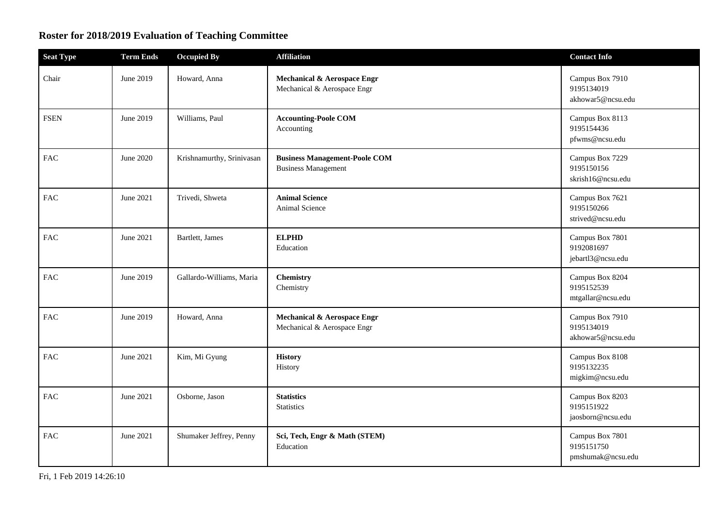## **Roster for 2018/2019 Evaluation of Teaching Committee**

| <b>Seat Type</b> | <b>Term Ends</b> | <b>Occupied By</b>        | <b>Affiliation</b>                                                 | <b>Contact Info</b>                                |
|------------------|------------------|---------------------------|--------------------------------------------------------------------|----------------------------------------------------|
| Chair            | June 2019        | Howard, Anna              | Mechanical & Aerospace Engr<br>Mechanical & Aerospace Engr         | Campus Box 7910<br>9195134019<br>akhowar5@ncsu.edu |
| <b>FSEN</b>      | June 2019        | Williams, Paul            | <b>Accounting-Poole COM</b><br>Accounting                          | Campus Box 8113<br>9195154436<br>pfwms@ncsu.edu    |
| <b>FAC</b>       | June 2020        | Krishnamurthy, Srinivasan | <b>Business Management-Poole COM</b><br><b>Business Management</b> | Campus Box 7229<br>9195150156<br>skrish16@ncsu.edu |
| ${\rm FAC}$      | June 2021        | Trivedi, Shweta           | <b>Animal Science</b><br>Animal Science                            | Campus Box 7621<br>9195150266<br>strived@ncsu.edu  |
| ${\rm FAC}$      | June 2021        | Bartlett, James           | <b>ELPHD</b><br>Education                                          | Campus Box 7801<br>9192081697<br>jebartl3@ncsu.edu |
| <b>FAC</b>       | June 2019        | Gallardo-Williams, Maria  | Chemistry<br>Chemistry                                             | Campus Box 8204<br>9195152539<br>mtgallar@ncsu.edu |
| ${\rm FAC}$      | June 2019        | Howard, Anna              | Mechanical & Aerospace Engr<br>Mechanical & Aerospace Engr         | Campus Box 7910<br>9195134019<br>akhowar5@ncsu.edu |
| <b>FAC</b>       | June 2021        | Kim, Mi Gyung             | <b>History</b><br>History                                          | Campus Box 8108<br>9195132235<br>migkim@ncsu.edu   |
| <b>FAC</b>       | June 2021        | Osborne, Jason            | <b>Statistics</b><br>Statistics                                    | Campus Box 8203<br>9195151922<br>jaosborn@ncsu.edu |
| FAC              | June 2021        | Shumaker Jeffrey, Penny   | Sci, Tech, Engr & Math (STEM)<br>Education                         | Campus Box 7801<br>9195151750<br>pmshumak@ncsu.edu |